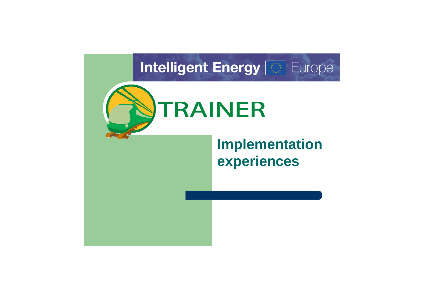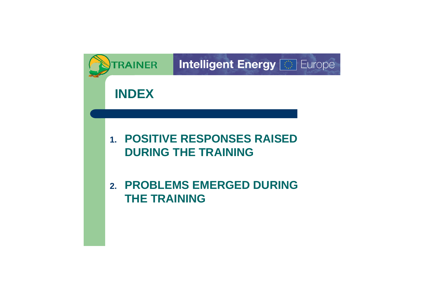

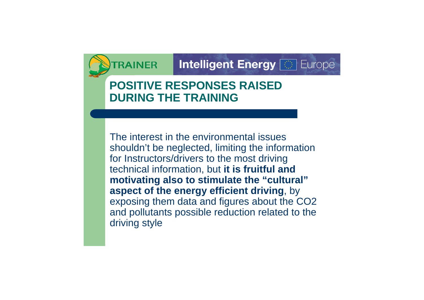# **POSITIVE RESPONSES RAISED DURING THE TRAINING**

The interest in the environmental issues shouldn't be neglected, limiting the information for Instructors/drivers to the most driving technical information, but **it is fruitful and motivating also to stimulate the "cultural" aspect of the energy efficient driving**, by exposing them data and figures about the CO2 and pollutants possible reduction related to the driving style

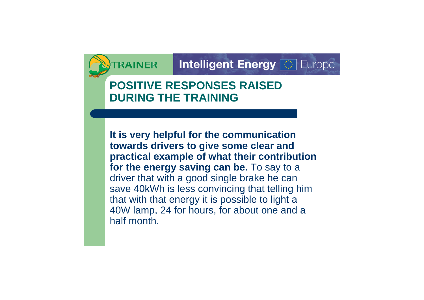# **POSITIVE RESPONSES RAISED DURING THE TRAINING**

**It is very helpful for the communication towards drivers to give some clear and practical example of what their contribution for the energy saving can be.** To say to a driver that with a good single brake he can save 40kWh is less convincing that telling him that with that energy it is possible to light a 40W lamp, 24 for hours, for about one and a half month.

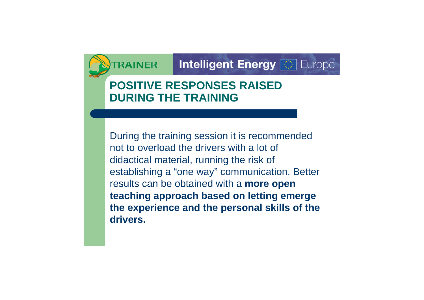# **POSITIVE RESPONSES RAISED DURING THE TRAINING**

During the training session it is recommended not to overload the drivers with a lot of didactical material, running the risk of establishing a "one way" communication. Better results can be obtained with a **more open teaching approach based on letting emerge the experience and the personal skills of the drivers.**

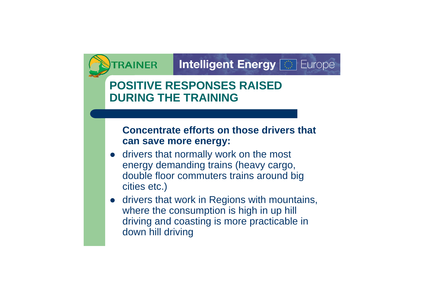# **POSITIVE RESPONSES RAISED DURING THE TRAINING**

### **Concentrate efforts on those drivers that can save more energy:**

- drivers that normally work on the most energy demanding trains (heavy cargo, double floor commuters trains around big cities etc.)
- **drivers that work in Regions with mountains,** where the consumption is high in up hill driving and coasting is more practicable in down hill driving

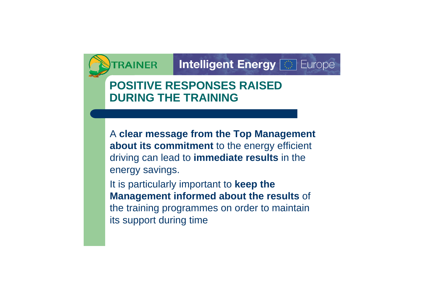#### **Intelligent Energy | Contact Europe RAINER**

# **POSITIVE RESPONSES RAISED DURING THE TRAINING**

A **clear message from the Top Management about its commitment** to the energy efficient driving can lead to **immediate results** in the energy savings.

It is particularly important to **keep the Management informed about the results** of the training programmes on order to maintain its support during time

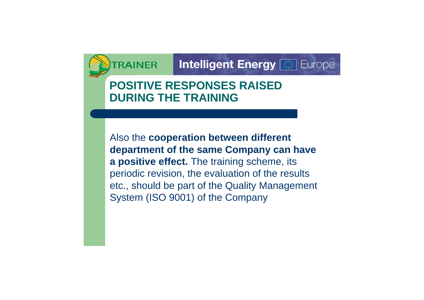# **POSITIVE RESPONSES RAISED DURING THE TRAINING**

Also the **cooperation between different department of the same Company can have a positive effect.** The training scheme, its periodic revision, the evaluation of the results etc., should be part of the Quality Management System (ISO 9001) of the Company

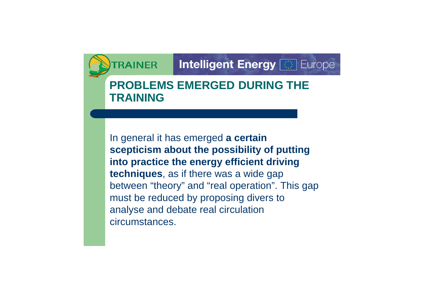#### **Intelligent Energy | Contact Europe RAINER**

## **PROBLEMS EMERGED DURING THE TRAINING**

In general it has emerged **a certain scepticism about the possibility of putting into practice the energy efficient driving techniques**, as if there was a wide gap between "theory" and "real operation". This gap must be reduced by proposing divers to analyse and debate real circulation circumstances.

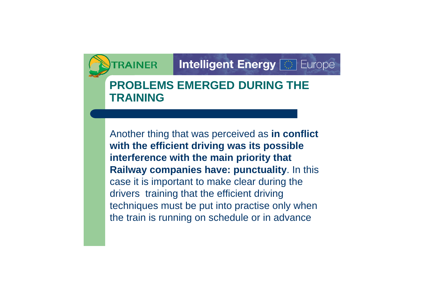## **PROBLEMS EMERGED DURING THE TRAINING**

Another thing that was perceived as **in conflict with the efficient driving was its possible interference with the main priority that Railway companies have: punctuality**. In this case it is important to make clear during the drivers training that the efficient driving techniques must be put into practise only when the train is running on schedule or in advance

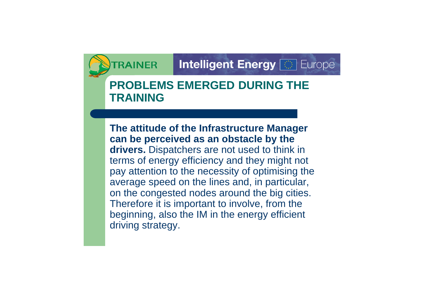## **PROBLEMS EMERGED DURING THE TRAINING**

**The attitude of the Infrastructure Manager can be perceived as an obstacle by the drivers.** Dispatchers are not used to think in terms of energy efficiency and they might not pay attention to the necessity of optimising the average speed on the lines and, in particular, on the congested nodes around the big cities. Therefore it is important to involve, from the beginning, also the IM in the energy efficient driving strategy.